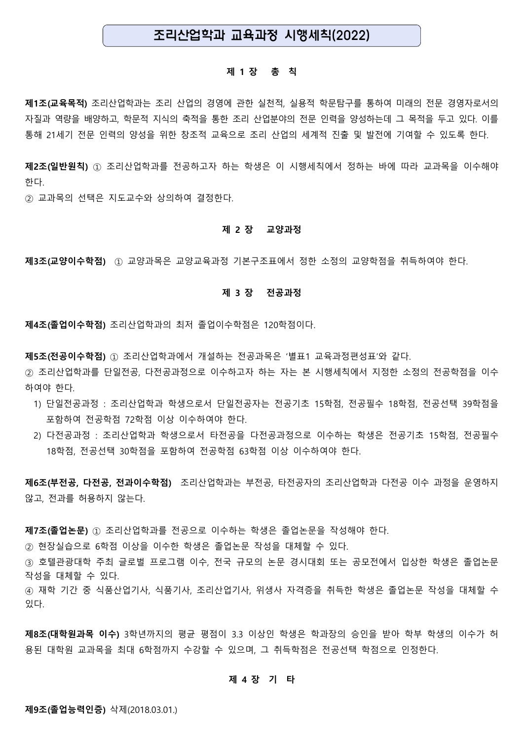# 조리산업학과 교육과정 시행세칙(2022)

### **제 1 장 총 칙**

**제1조(교육목적)** 조리산업학과는 조리 산업의 경영에 관한 실천적, 실용적 학문탐구를 통하여 미래의 전문 경영자로서의 자질과 역량을 배양하고, 학문적 지식의 축적을 통한 조리 산업분야의 전문 인력을 양성하는데 그 목적을 두고 있다. 이를 통해 21세기 전문 인력의 양성을 위한 창조적 교육으로 조리 산업의 세계적 진출 및 발전에 기여할 수 있도록 한다.

**제2조(일반원칙)** ① 조리산업학과를 전공하고자 하는 학생은 이 시행세칙에서 정하는 바에 따라 교과목을 이수해야 한다.

② 교과목의 선택은 지도교수와 상의하여 결정한다.

### **제 2 장 교양과정**

**제3조(교양이수학점)** ① 교양과목은 교양교육과정 기본구조표에서 정한 소정의 교양학점을 취득하여야 한다.

#### **제 3 장 전공과정**

**제4조(졸업이수학점)** 조리산업학과의 최저 졸업이수학점은 120학점이다.

**제5조(전공이수학점)** ① 조리산업학과에서 개설하는 전공과목은 '별표1 교육과정편성표'와 같다.

② 조리산업학과를 단일전공, 다전공과정으로 이수하고자 하는 자는 본 시행세칙에서 지정한 소정의 전공학점을 이수 하여야 한다.

- 1) 단일전공과정 : 조리산업학과 학생으로서 단일전공자는 전공기초 15학점, 전공필수 18학점, 전공선택 39학점을 - 포함하여 전공학점 72학점 이상 이수하여야 한다.<br>2) 다전공과정 : 조리산업학과 학생으로서 타전공을 다전공과정으로 이수하는 학생은 전공기초 15학점, 전공필수
- 18학점, 전공선택 30학점을 포함하여 전공학점 63학점 이상 이수하여야 한다.

**제6조(부전공, 다전공, 전과이수학점)** 조리산업학과는 부전공, 타전공자의 조리산업학과 다전공 이수 과정을 운영하지 않고, 전과를 허용하지 않는다.

**제7조(졸업논문)** ① 조리산업학과를 전공으로 이수하는 학생은 졸업논문을 작성해야 한다.

② 현장실습으로 6학점 이상을 이수한 학생은 졸업논문 작성을 대체할 수 있다.

③ 호텔관광대학 주최 글로벌 프로그램 이수, 전국 규모의 논문 경시대회 또는 공모전에서 입상한 학생은 졸업논문 작성을 대체할 수 있다.

④ 재학 기간 중 식품산업기사, 식품기사, 조리산업기사, 위생사 자격증을 취득한 학생은 졸업논문 작성을 대체할 수 있다.

**제8조(대학원과목 이수)** 3학년까지의 평균 평점이 3.3 이상인 학생은 학과장의 승인을 받아 학부 학생의 이수가 허 용된 대학원 교과목을 최대 6학점까지 수강할 수 있으며, 그 취득학점은 전공선택 학점으로 인정한다.

# **제 4 장 기 타**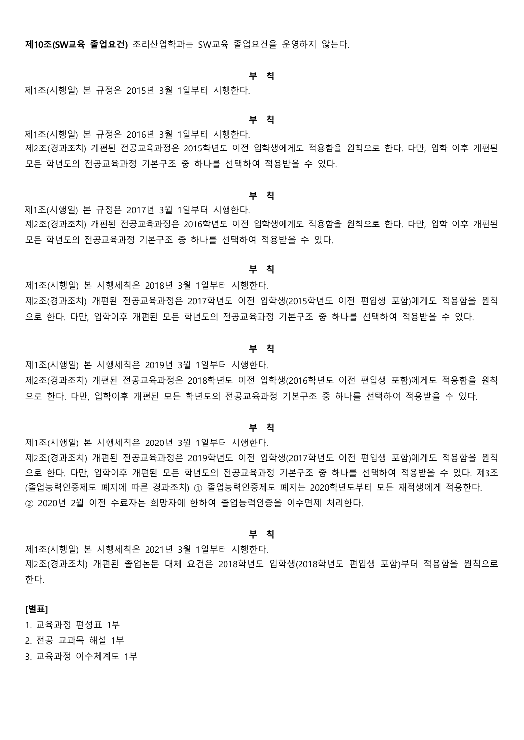**제10조(SW교육 졸업요건)** 조리산업학과는 SW교육 졸업요건을 운영하지 않는다.

#### **부 칙**

제1조(시행일) 본 규정은 2015년 3월 1일부터 시행한다.

#### **부 칙**

제1조(시행일) 본 규정은 2016년 3월 1일부터 시행한다. 제2조(경과조치) 개편된 전공교육과정은 2015학년도 이전 입학생에게도 적용함을 원칙으로 한다. 다만, 입학 이후 개편된 모든 학년도의 전공교육과정 기본구조 중 하나를 선택하여 적용받을 수 있다.

#### **부 칙**

제1조(시행일) 본 규정은 2017년 3월 1일부터 시행한다.

제2조(경과조치) 개편된 전공교육과정은 2016학년도 이전 입학생에게도 적용함을 원칙으로 한다. 다만, 입학 이후 개편된 모든 학년도의 전공교육과정 기본구조 중 하나를 선택하여 적용받을 수 있다.

#### **부 칙**

제1조(시행일) 본 시행세칙은 2018년 3월 1일부터 시행한다.

제2조(경과조치) 개편된 전공교육과정은 2017학년도 이전 입학생(2015학년도 이전 편입생 포함)에게도 적용함을 원칙 으로 한다. 다만, 입학이후 개편된 모든 학년도의 전공교육과정 기본구조 중 하나를 선택하여 적용받을 수 있다.

#### **부 칙**

제1조(시행일) 본 시행세칙은 2019년 3월 1일부터 시행한다.

제2조(경과조치) 개편된 전공교육과정은 2018학년도 이전 입학생(2016학년도 이전 편입생 포함)에게도 적용함을 원칙 으로 한다. 다만, 입학이후 개편된 모든 학년도의 전공교육과정 기본구조 중 하나를 선택하여 적용받을 수 있다.

#### **부 칙**

제1조(시행일) 본 시행세칙은 2020년 3월 1일부터 시행한다. 제2조(경과조치) 개편된 전공교육과정은 2019학년도 이전 입학생(2017학년도 이전 편입생 포함)에게도 적용함을 원칙 으로 한다. 다만, 입학이후 개편된 모든 학년도의 전공교육과정 기본구조 중 하나를 선택하여 적용받을 수 있다. 제3조 (졸업능력인증제도 폐지에 따른 경과조치) ① 졸업능력인증제도 폐지는 2020학년도부터 모든 재적생에게 적용한다. ② 2020년 2월 이전 수료자는 희망자에 한하여 졸업능력인증을 이수면제 처리한다.

### **부 칙**

제1조(시행일) 본 시행세칙은 2021년 3월 1일부터 시행한다. 제2조(경과조치) 개편된 졸업논문 대체 요건은 2018학년도 입학생(2018학년도 편입생 포함)부터 적용함을 원칙으로 한다.

# **[별표]**

1. 교육과정 편성표 1부

2. 전공 교과목 해설 1부

3. 교육과정 이수체계도 1부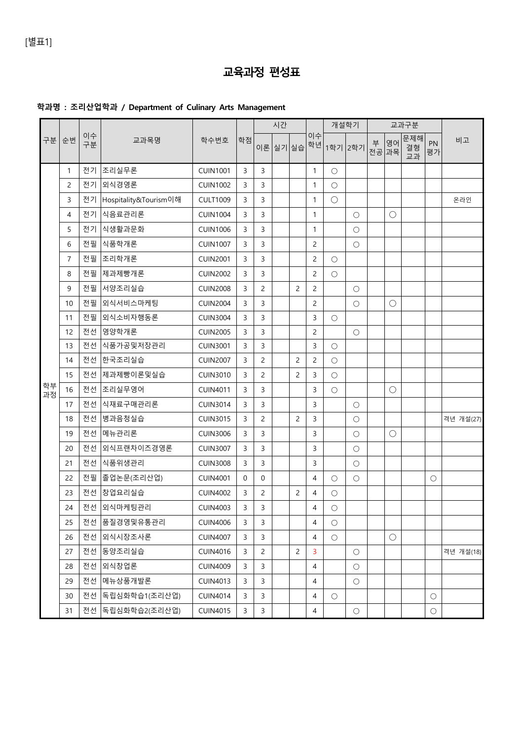# **교육과정 편성표**

# **학과명 : 조리산업학과 / Department of Culinary Arts Management**

|          | 순번             | 이수<br>구분 | 교과목명                     | 학수번호            | 학점 | 시간             |          |   |                | 개설학기                |                         | 교과구분 |             |                 |            |           |
|----------|----------------|----------|--------------------------|-----------------|----|----------------|----------|---|----------------|---------------------|-------------------------|------|-------------|-----------------|------------|-----------|
| 구분       |                |          |                          |                 |    |                | 이론 실기 실습 |   | 이수             |                     | <sup>.학년 </sup> 1학기 2학기 | 부    | 영어<br>전공 과목 | 문제해<br>결형<br>교과 | PN<br>평가   | 비고        |
|          | $\mathbf{1}$   |          | 전기 조리실무론                 | <b>CUIN1001</b> | 3  | 3              |          |   | $\mathbf{1}$   | $\circ$             |                         |      |             |                 |            |           |
|          | 2              |          | 전기 외식경영론                 | <b>CUIN1002</b> | 3  | 3              |          |   | 1              | $\circlearrowright$ |                         |      |             |                 |            |           |
|          | 3              |          | 전기 Hospitality&Tourism이해 | <b>CULT1009</b> | 3  | 3              |          |   | 1              | $\bigcirc$          |                         |      |             |                 |            | 온라인       |
|          | 4              |          | 전기 식음료관리론                | <b>CUIN1004</b> | 3  | 3              |          |   | $\mathbf{1}$   |                     | $\bigcirc$              |      | $\bigcirc$  |                 |            |           |
|          | 5              |          | 전기 식생활과문화                | <b>CUIN1006</b> | 3  | 3              |          |   | 1              |                     | $\bigcirc$              |      |             |                 |            |           |
|          | 6              | 전필       | │식품학개론                   | <b>CUIN1007</b> | 3  | 3              |          |   | $\overline{c}$ |                     | $\circ$                 |      |             |                 |            |           |
|          | $\overline{7}$ | 전필       | │조리학개론                   | <b>CUIN2001</b> | 3  | 3              |          |   | $\overline{c}$ | $\circ$             |                         |      |             |                 |            |           |
| 학부<br>과정 | 8              | 전필       | │제과제빵개론                  | <b>CUIN2002</b> | 3  | 3              |          |   | 2              | $\circ$             |                         |      |             |                 |            |           |
|          | 9              |          | 전필 서양조리실습                | <b>CUIN2008</b> | 3  | $\overline{c}$ |          | 2 | $\overline{c}$ |                     | $\bigcirc$              |      |             |                 |            |           |
|          | 10             | 전필       | │외식서비스마케팅                | <b>CUIN2004</b> | 3  | 3              |          |   | $\overline{c}$ |                     | $\circ$                 |      | О           |                 |            |           |
|          | 11             | 전필       | 외식소비자행동론                 | <b>CUIN3004</b> | 3  | 3              |          |   | 3              | $\circlearrowright$ |                         |      |             |                 |            |           |
|          | 12             | 전선       | 영양학개론                    | <b>CUIN2005</b> | 3  | 3              |          |   | $\overline{c}$ |                     | $\bigcirc$              |      |             |                 |            |           |
|          | 13             | 전선       | │식품가공및저장관리               | <b>CUIN3001</b> | 3  | 3              |          |   | 3              | $\bigcirc$          |                         |      |             |                 |            |           |
|          | 14             | 전선       | 한국조리실습                   | <b>CUIN2007</b> | 3  | 2              |          | 2 | $\overline{c}$ | $\circlearrowright$ |                         |      |             |                 |            |           |
|          | 15             | 전선       | │제과제빵이론및실습               | <b>CUIN3010</b> | 3  | 2              |          | 2 | 3              | $\circlearrowright$ |                         |      |             |                 |            |           |
|          | 16             | 전선       | 조리실무영어                   | <b>CUIN4011</b> | 3  | 3              |          |   | 3              | $\circlearrowright$ |                         |      | О           |                 |            |           |
|          | 17             |          | 전선  식재료구매관리론             | <b>CUIN3014</b> | 3  | 3              |          |   | 3              |                     | $\bigcirc$              |      |             |                 |            |           |
|          | 18             | 전선       | 병과음청실습                   | <b>CUIN3015</b> | 3  | $\overline{2}$ |          | 2 | 3              |                     | $\circ$                 |      |             |                 |            | 격년 개설(27) |
|          | 19             | 전선       | │메뉴관리론                   | <b>CUIN3006</b> | 3  | 3              |          |   | 3              |                     | $\circ$                 |      | $\bigcirc$  |                 |            |           |
|          | 20             | 전선       | 외식프랜차이즈경영론               | <b>CUIN3007</b> | 3  | 3              |          |   | 3              |                     | $\circ$                 |      |             |                 |            |           |
|          | 21             | 전선       | │식품위생관리                  | <b>CUIN3008</b> | 3  | 3              |          |   | 3              |                     | $\bigcirc$              |      |             |                 |            |           |
|          | 22             | 전필       | 졸업논문(조리산업)               | <b>CUIN4001</b> | 0  | 0              |          |   | 4              | $\circ$             | $\bigcirc$              |      |             |                 | $\bigcirc$ |           |
|          | 23             |          | 전선 창업요리실습                | <b>CUIN4002</b> | 3  | $\overline{2}$ |          | 2 | 4              | $\circlearrowright$ |                         |      |             |                 |            |           |
|          | 24             |          | 전선 $\vert$ 외식마케팅관리       | <b>CUIN4003</b> | 3  | 3              |          |   | 4              | $\bigcirc$          |                         |      |             |                 |            |           |
|          | 25             |          | 전선 품질경영및유통관리             | <b>CUIN4006</b> | 3  | 3              |          |   | 4              | $\circ$             |                         |      |             |                 |            |           |
|          | 26             |          | 전선 외식시장조사론               | <b>CUIN4007</b> | 3  | 3              |          |   | 4              | $\bigcirc$          |                         |      | $\bigcirc$  |                 |            |           |
|          | 27             |          | 전선 동양조리실습                | <b>CUIN4016</b> | 3  | $\overline{2}$ |          | 2 | 3              |                     | $\bigcirc$              |      |             |                 |            | 격년 개설(18) |
|          | 28             | 전선       | │외식창업론                   | <b>CUIN4009</b> | 3  | 3              |          |   | 4              |                     | $\bigcirc$              |      |             |                 |            |           |
|          | 29             | 전선       | │메뉴상품개발론                 | <b>CUIN4013</b> | 3  | 3              |          |   | 4              |                     | $\bigcirc$              |      |             |                 |            |           |
|          | 30             | 전선       | 독립심화학습1(조리산업)            | <b>CUIN4014</b> | 3  | 3              |          |   | 4              | $\circ$             |                         |      |             |                 | $\bigcirc$ |           |
|          | 31             |          | 전선  독립심화학습2(조리산업)        | <b>CUIN4015</b> | 3  | 3              |          |   | 4              |                     | $\bigcirc$              |      |             |                 | $\bigcirc$ |           |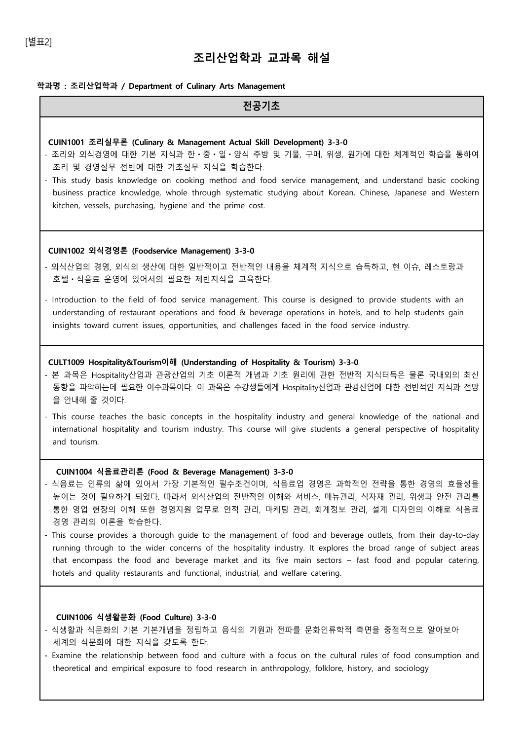# [별표2]

# **조리산업학과 교과목 해설**

# **학과명 : 조리산업학과 / Department of Culinary Arts Management**

| 전공기초                                                                                                                                                                                                                                                                                                                                                                                                                                                                                                                                                                                                                                                                                                                  |
|-----------------------------------------------------------------------------------------------------------------------------------------------------------------------------------------------------------------------------------------------------------------------------------------------------------------------------------------------------------------------------------------------------------------------------------------------------------------------------------------------------------------------------------------------------------------------------------------------------------------------------------------------------------------------------------------------------------------------|
| CUIN1001 조리실무론 (Culinary & Management Actual Skill Development) 3-3-0<br>- 조리와 외식경영에 대한 기본 지식과 한 · 중 · 일 · 양식 주방 및 기물, 구매, 위생, 원가에 대한 체계적인 학습을 통하여<br>조리 및 경영실무 전반에 대한 기초실무 지식을 학습한다.<br>- This study basis knowledge on cooking method and food service management, and understand basic cooking<br>business practice knowledge, whole through systematic studying about Korean, Chinese, Japanese and Western<br>kitchen, vessels, purchasing, hygiene and the prime cost.                                                                                                                                                                                                                                          |
| CUIN1002 외식경영론 (Foodservice Management) 3-3-0<br>- 외식산업의 경영, 외식의 생산에 대한 일반적이고 전반적인 내용을 체계적 지식으로 습득하고, 현 이슈, 레스토랑과<br>호텔 · 식음료 운영에 있어서의 필요한 제반지식을 교육한다.<br>- Introduction to the field of food service management. This course is designed to provide students with an<br>understanding of restaurant operations and food & beverage operations in hotels, and to help students gain<br>insights toward current issues, opportunities, and challenges faced in the food service industry.                                                                                                                                                                                                                              |
| CULT1009 Hospitality&Tourism이해 (Understanding of Hospitality & Tourism) 3-3-0<br>- 본 과목은 Hospitality산업과 관광산업의 기초 이론적 개념과 기초 원리에 관한 전반적 지식터득은 물론 국내외의 최신<br>동향을 파악하는데 필요한 이수과목이다. 이 과목은 수강생들에게 Hospitality산업과 관광산업에 대한 전반적인 지식과 전망<br>을 안내해 줄 것이다.<br>- This course teaches the basic concepts in the hospitality industry and general knowledge of the national and<br>international hospitality and tourism industry. This course will give students a general perspective of hospitality<br>and tourism.                                                                                                                                                                                                            |
| CUIN1004 식음료관리론 (Food & Beverage Management) 3-3-0<br>- 식음료는 인류의 삶에 있어서 가장 기본적인 필수조건이며, 식음료업 경영은 과학적인 전략을 통한 경영의 효율성을<br>높이는 것이 필요하게 되었다. 따라서 외식산업의 전반적인 이해와 서비스, 메뉴관리, 식자재 관리, 위생과 안전 관리를<br>통한 영업 현장의 이해 또한 경영지원 업무로 인적 관리, 마케팅 관리, 회계정보 관리, 설계 디자인의 이해로 식음료<br>경영 관리의 이론을 학습한다.<br>- This course provides a thorough quide to the management of food and beverage outlets, from their day-to-day<br>running through to the wider concerns of the hospitality industry. It explores the broad range of subject areas<br>that encompass the food and beverage market and its five main sectors - fast food and popular catering,<br>hotels and quality restaurants and functional, industrial, and welfare catering. |
| CUIN1006 식생활문화 (Food Culture) 3-3-0<br>- 식생활과 식문화의 기본 기본개념을 정립하고 음식의 기원과 전파를 문화인류학적 측면을 중점적으로 알아보아<br>세계의 식문화에 대한 지식을 갖도록 한다.                                                                                                                                                                                                                                                                                                                                                                                                                                                                                                                                                                                         |

**-** Examine the relationship between food and culture with a focus on the cultural rules of food consumption and theoretical and empirical exposure to food research in anthropology, folklore, history, and sociology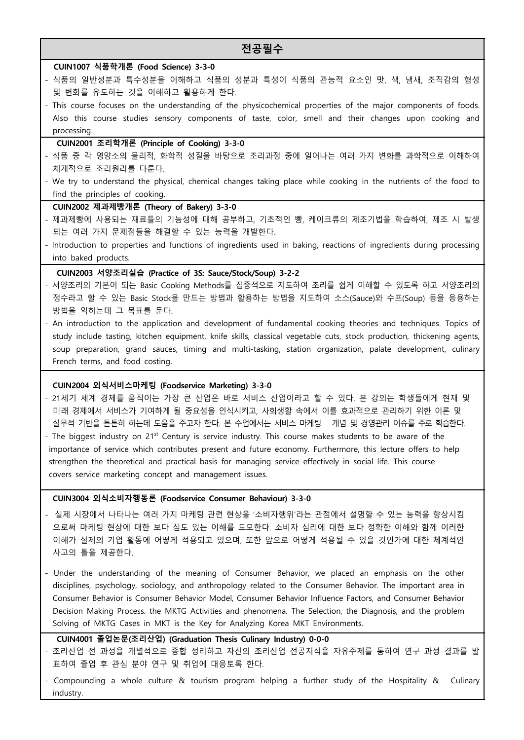# **전공필수**

### **CUIN1007 식품학개론 (Food Science) 3-3-0**

- 식품의 일반성분과 특수성분을 이해하고 식품의 성분과 특성이 식품의 관능적 요소인 맛, 색, 냄새, 조직감의 형성 및 변화를 유도하는 것을 이해하고 활용하게 한다.
- This course focuses on the understanding of the physicochemical properties of the major components of foods. Also this course studies sensory components of taste, color, smell and their changes upon cooking and processing.

#### **CUIN2001 조리학개론 (Principle of Cooking) 3-3-0**

- 식품 중 각 영양소의 물리적, 화학적 성질을 바탕으로 조리과정 중에 일어나는 여러 가지 변화를 과학적으로 이해하여 체계적으로 조리원리를 다룬다.
- We try to understand the physical, chemical changes taking place while cooking in the nutrients of the food to find the principles of cooking.

### **CUIN2002 제과제빵개론 (Theory of Bakery) 3-3-0**

- 제과제빵에 사용되는 재료들의 기능성에 대해 공부하고, 기초적인 빵, 케이크류의 제조기법을 학습하여, 제조 시 발생 되는 여러 가지 문제점들을 해결할 수 있는 능력을 개발한다.
- Introduction to properties and functions of ingredients used in baking, reactions of ingredients during processing into baked products.

# **CUIN2003 서양조리실습 (Practice of 3S: Sauce/Stock/Soup) 3-2-2**

- 서양조리의 기본이 되는 Basic Cooking Methods를 집중적으로 지도하여 조리를 쉽게 이해할 수 있도록 하고 서양조리의 정수라고 할 수 있는 Basic Stock을 만드는 방법과 활용하는 방법을 지도하여 소스(Sauce)와 수프(Soup) 등을 응용하는 방법을 익히는데 그 목표를 둔다.<br>- An introduction to the application and development of fundamental cooking theories and techniques. Topics of
- study include tasting, kitchen equipment, knife skills, classical vegetable cuts, stock production, thickening agents, soup preparation, grand sauces, timing and multi-tasking, station organization, palate development, culinary French terms, and food costing.

#### **CUIN2004 외식서비스마케팅 (Foodservice Marketing) 3-3-0**

- 21세기 세계 경제를 움직이는 가장 큰 산업은 바로 서비스 산업이라고 할 수 있다. 본 강의는 학생들에게 현재 및 미래 경제에서 서비스가 기여하게 될 중요성을 인식시키고, 사회생활 속에서 이를 효과적으로 관리하기 위한 이론 및 실무적 기반을 튼튼히 하는데 도움을 주고자 한다. 본 수업에서는 서비스 마케팅 개념 및 경영관리 이슈를 주로 학습한다.<br>- The biggest industry on 21<sup>st</sup> Century is service industry. This course makes students to be aware of the
- importance of service which contributes present and future economy. Furthermore, this lecture offers to help strengthen the theoretical and practical basis for managing service effectively in social life. This course covers service marketing concept and management issues.

### **CUIN3004 외식소비자행동론 (Foodservice Consumer Behaviour) 3-3-0**

- 실제 시장에서 나타나는 여러 가지 마케팅 관련 현상을 '소비자행위'라는 관점에서 설명할 수 있는 능력을 향상시킴 으로써 마케팅 현상에 대한 보다 심도 있는 이해를 도모한다. 소비자 심리에 대한 보다 정확한 이해와 함께 이러한 이해가 실제의 기업 활동에 어떻게 적용되고 있으며, 또한 앞으로 어떻게 적용될 수 있을 것인가에 대한 체계적인 사고의 틀을 제공한다.
- Under the understanding of the meaning of Consumer Behavior, we placed an emphasis on the other disciplines, psychology, sociology, and anthropology related to the Consumer Behavior. The important area in Consumer Behavior is Consumer Behavior Model, Consumer Behavior Influence Factors, and Consumer Behavior Decision Making Process. the MKTG Activities and phenomena. The Selection, the Diagnosis, and the problem Solving of MKTG Cases in MKT is the Key for Analyzing Korea MKT Environments.

# **CUIN4001 졸업논문(조리산업) (Graduation Thesis Culinary Industry) 0-0-0**

- 조리산업 전 과정을 개별적으로 종합 정리하고 자신의 조리산업 전공지식을 자유주제를 통하여 연구 과정 결과를 발 표하여 졸업 후 관심 분야 연구 및 취업에 대응토록 한다.
- Compounding a whole culture & tourism program helping a further study of the Hospitality & Culinary industry.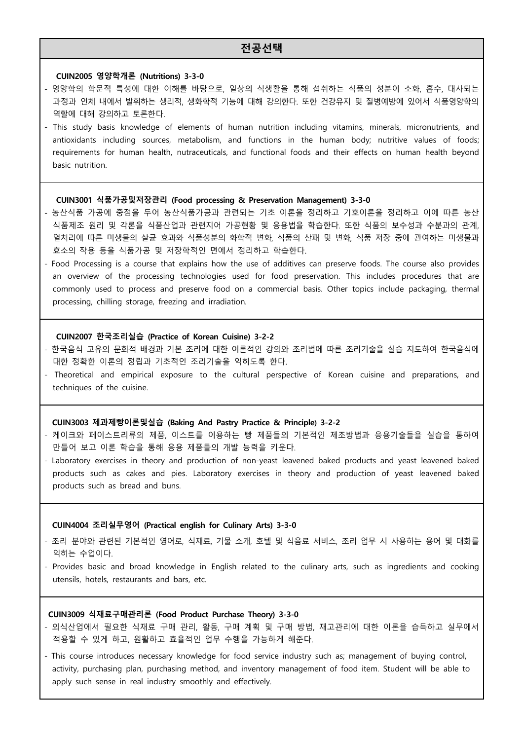# **전공선택**

#### **CUIN2005 영양학개론 (Nutritions) 3-3-0**

- 영양학의 학문적 특성에 대한 이해를 바탕으로, 일상의 식생활을 통해 섭취하는 식품의 성분이 소화, 흡수, 대사되는 과정과 인체 내에서 발휘하는 생리적, 생화학적 기능에 대해 강의한다. 또한 건강유지 및 질병예방에 있어서 식품영양학의 역할에 대해 강의하고 토론한다.<br>- This study basis knowledge of elements of human nutrition including vitamins, minerals, micronutrients, and
- antioxidants including sources, metabolism, and functions in the human body; nutritive values of foods; requirements for human health, nutraceuticals, and functional foods and their effects on human health beyond basic nutrition.

# **CUIN3001 식품가공및저장관리 (Food processing & Preservation Management) 3-3-0**

- 농산식품 가공에 중점을 두어 농산식품가공과 관련되는 기초 이론을 정리하고 기호이론을 정리하고 이에 따른 농산 식품제조 원리 및 각론을 식품산업과 관련지어 가공현황 및 응용법을 학습한다. 또한 식품의 보수성과 수분과의 관계,<br>열처리에 따른 미생물의 살균 효과와 식품성분의 화학적 변화, 식품의 산패 및 변화, 식품 저장 중에 관여하는 미생물과 효소의 작용 등을 식품가공 및 저장학적인 면에서 정리하고 학습한다.
- Food Processing is a course that explains how the use of additives can preserve foods. The course also provides an overview of the processing technologies used for food preservation. This includes procedures that are commonly used to process and preserve food on a commercial basis. Other topics include packaging, thermal processing, chilling storage, freezing and irradiation.

#### **CUIN2007 한국조리실습 (Practice of Korean Cuisine) 3-2-2**

- 한국음식 고유의 문화적 배경과 기본 조리에 대한 이론적인 강의와 조리법에 따른 조리기술을 실습 지도하여 한국음식에 대한 정확한 이론의 정립과 기초적인 조리기술을 익히도록 한다.
- Theoretical and empirical exposure to the cultural perspective of Korean cuisine and preparations, and techniques of the cuisine.

#### **CUIN3003 제과제빵이론및실습 (Baking And Pastry Practice & Principle) 3-2-2**

- 케이크와 페이스트리류의 제품, 이스트를 이용하는 빵 제품들의 기본적인 제조방법과 응용기술들을 실습을 통하여 만들어 보고 이론 학습을 통해 응용 제품들의 개발 능력을 키운다.
- Laboratory exercises in theory and production of non-yeast leavened baked products and yeast leavened baked products such as cakes and pies. Laboratory exercises in theory and production of yeast leavened baked products such as bread and buns.

#### **CUIN4004 조리실무영어 (Practical english for Culinary Arts) 3-3-0**

- 조리 분야와 관련된 기본적인 영어로, 식재료, 기물 소개, 호텔 및 식음료 서비스, 조리 업무 시 사용하는 용어 및 대화를 익히는 수업이다.
- Provides basic and broad knowledge in English related to the culinary arts, such as ingredients and cooking utensils, hotels, restaurants and bars, etc.

#### **CUIN3009 식재료구매관리론 (Food Product Purchase Theory) 3-3-0**

- 외식산업에서 필요한 식재료 구매 관리, 활동, 구매 계획 및 구매 방법, 재고관리에 대한 이론을 습득하고 실무에서 적용할 수 있게 하고, 원활하고 효율적인 업무 수행을 가능하게 해준다.
- This course introduces necessary knowledge for food service industry such as; management of buying control, activity, purchasing plan, purchasing method, and inventory management of food item. Student will be able to apply such sense in real industry smoothly and effectively.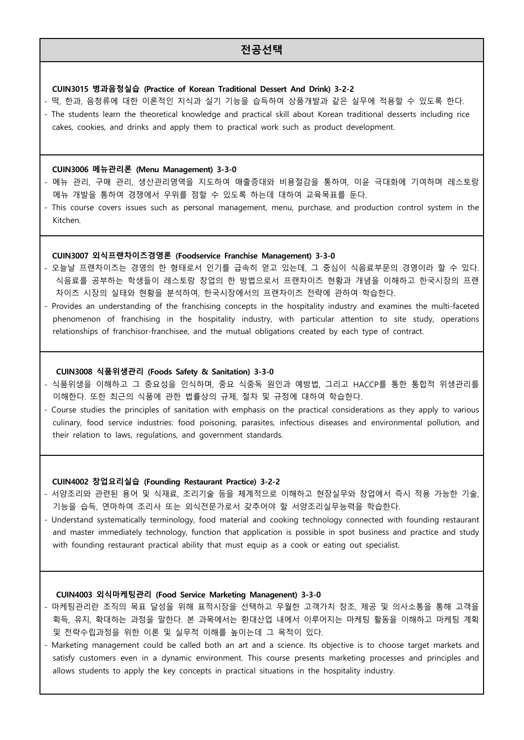# **전공선택**

### **CUIN3015 병과음청실습 (Practice of Korean Traditional Dessert And Drink) 3-2-2**

cakes, cookies, and drinks and apply them to practical work such as product development.

- 떡, 한과, 음청류에 대한 이론적인 지식과 실기 기능을 습득하여 상품개발과 같은 실무에 적용할 수 있도록 한다.<br>- The students learn the theoretical knowledge and practical skill about Korean traditional desserts including rice

# **CUIN3006 메뉴관리론 (Menu Management) 3-3-0**

- 메뉴 관리, 구매 관리, 생산관리영역을 지도하여 매출증대와 비용절감을 통하여, 이윤 극대화에 기여하며 레스토랑 메뉴 개발을 통하여 경쟁에서 우위를 점할 수 있도록 하는데 대하여 교육목표를 둔다.
- This course covers issues such as personal management, menu, purchase, and production control system in the Kitchen.

# **CUIN3007 외식프랜차이즈경영론 (Foodservice Franchise Management) 3-3-0**

- 오늘날 프랜차이즈는 경영의 한 형태로서 인기를 급속히 얻고 있는데, 그 중심이 식음료부문의 경영이라 할 수 있다.<br>- 식음료를 공부하는 학생들이 레스토랑 창업의 한 방법으로서 프랜차이즈 현황과 개념을 이해하고 한국시장의 프랜 차이즈 시장의 실태와 현황을 분석하여, 한국시장에서의 프랜차이즈 전략에 관하여 학습한다.
- Provides an understanding of the franchising concepts in the hospitality industry and examines the multi-faceted phenomenon of franchising in the hospitality industry, with particular attention to site study, operations relationships of franchisor-franchisee, and the mutual obligations created by each type of contract.

#### **CUIN3008 식품위생관리 (Foods Safety & Sanitation) 3-3-0**

- 식품위생을 이해하고 그 중요성을 인식하며, 중요 식중독 원인과 예방법, 그리고 HACCP를 통한 통합적 위생관리를 이해한다. 또한 최근의 식품에 관한 법률상의 규제, 절차 및 규정에 대하여 학습한다.
- Course studies the principles of sanitation with emphasis on the practical considerations as they apply to various culinary, food service industries: food poisoning, parasites, infectious diseases and environmental pollution, and their relation to laws, regulations, and government standards.

### **CUIN4002 창업요리실습 (Founding Restaurant Practice) 3-2-2**

- 서양조리와 관련된 용어 및 식재료, 조리기술 등을 체계적으로 이해하고 현장실무와 창업에서 즉시 적용 가능한 기술,<br>- 기능을 습득, 연마하여 조리사 또는 외식전문가로서 갖추어야 할 서양조리실무능력을 학습한다.
- Understand systematically terminology, food material and cooking technology connected with founding restaurant and master immediately technology, function that application is possible in spot business and practice and study with founding restaurant practical ability that must equip as a cook or eating out specialist.

#### **CUIN4003 외식마케팅관리 (Food Service Marketing Managenent) 3-3-0**

- 마케팅관리란 조직의 목표 달성을 위해 표적시장을 선택하고 우월한 고객가치 창조, 제공 및 의사소통을 통해 고객을 획득, 유지, 확대하는 과정을 말한다. 본 과목에서는 환대산업 내에서 이루어지는 마케팅 활동을 이해하고 마케팅 계획 및 전략수립과정을 위한 이론 및 실무적 이해를 높이는데 그 목적이 있다.
- Marketing management could be called both an art and a science. Its objective is to choose target markets and satisfy customers even in a dynamic environment. This course presents marketing processes and principles and allows students to apply the key concepts in practical situations in the hospitality industry.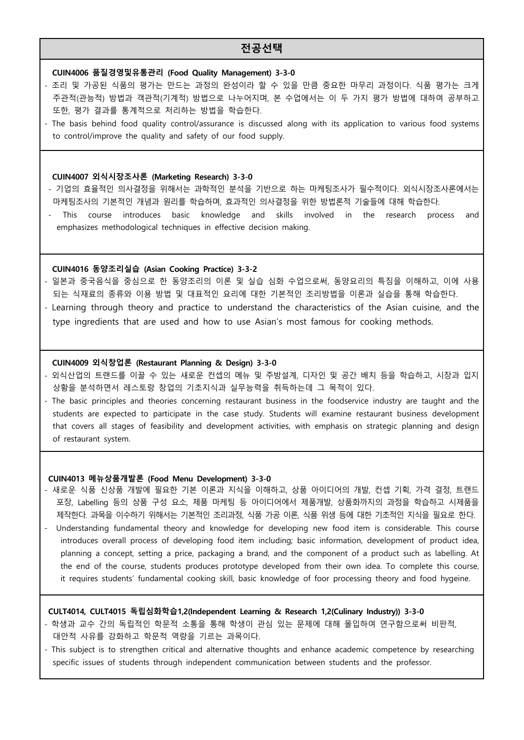# **전공선택**

# **CUIN4006 품질경영및유통관리 (Food Quality Management) 3-3-0**

- 조리 및 가공된 식품의 평가는 만드는 과정의 완성이라 할 수 있을 만큼 중요한 마무리 과정이다. 식품 평가는 크게 주관적(관능적) 방법과 객관적(기계적) 방법으로 나누어지며, 본 수업에서는 이 두 가지 평가 방법에 대하여 공부하고 또한, 평가 결과를 통계적으로 처리하는 방법을 학습한다.<br>- The basis behind food quality control/assurance is discussed along with its application to various food systems
- to control/improve the quality and safety of our food supply.

#### **CUIN4007 외식시장조사론 (Marketing Research) 3-3-0**

- 기업의 효율적인 의사결정을 위해서는 과학적인 분석을 기반으로 하는 마케팅조사가 필수적이다. 외식시장조사론에서는 - 마케팅조사의 기본적인 개념과 원리를 학습하며, 효과적인 의사결정을 위한 방법론적 기술들에 대해 학습한다.<br>- This course introduces basic knowledge and skills involved in the research process and
- emphasizes methodological techniques in effective decision making.

#### **CUIN4016 동양조리실습 (Asian Cooking Practice) 3-3-2**

- 일본과 중국음식을 중심으로 한 동양조리의 이론 및 실습 심화 수업으로써, 동양요리의 특징을 이해하고, 이에 사용 되는 식재료의 종류와 이용 방법 및 대표적인 요리에 대한 기본적인 조리방법을 이론과 실습을 통해 학습한다.<br>- Learning through theory and practice to understand the characteristics of the Asian cuisine, and the
- type ingredients that are used and how to use Asian's most famous for cooking methods.

### **CUIN4009 외식창업론 (Restaurant Planning & Design) 3-3-0**

- 외식산업의 트랜드를 이끌 수 있는 새로운 컨셉의 메뉴 및 주방설계, 디자인 및 공간 배치 등을 학습하고, 시장과 입지 상황을 분석하면서 레스토랑 창업의 기초지식과 실무능력을 취득하는데 그 목적이 있다.
- The basic principles and theories concerning restaurant business in the foodservice industry are taught and the students are expected to participate in the case study. Students will examine restaurant business development that covers all stages of feasibility and development activities, with emphasis on strategic planning and design of restaurant system.

### **CUIN4013 메뉴상품개발론 (Food Menu Development) 3-3-0**

- 새로운 식품 신상품 개발에 필요한 기본 이론과 지식을 이해하고, 상품 아이디어의 개발, 컨셉 기획, 가격 결정, 트랜드 포장, Labelling 등의 상품 구성 요소, 제품 마케팅 등 아이디어에서 제품개발, 상품화까지의 과정을 학습하고 시제품을 제작한다. 과목을 이수하기 위해서는 기본적인 조리과정, 식품 가공 이론, 식품 위생 등에 대한 기초적인 지식을 필요로 한다. - Understanding fundamental theory and knowledge for developing new food item is considerable. This course
- introduces overall process of developing food item including; basic information, development of product idea, planning a concept, setting a price, packaging a brand, and the component of a product such as labelling. At the end of the course, students produces prototype developed from their own idea. To complete this course, it requires students' fundamental cooking skill, basic knowledge of foor processing theory and food hygeine.

### **CULT4014, CULT4015 독립심화학습1,2(Independent Learning & Research 1,2(Culinary Industry)) 3-3-0**

- 학생과 교수 간의 독립적인 학문적 소통을 통해 학생이 관심 있는 문제에 대해 몰입하여 연구함으로써 비판적,<br>- 대안적 사유를 강화하고 학문적 역량을 기르는 과목이다.
- This subject is to strengthen critical and alternative thoughts and enhance academic competence by researching specific issues of students through independent communication between students and the professor.